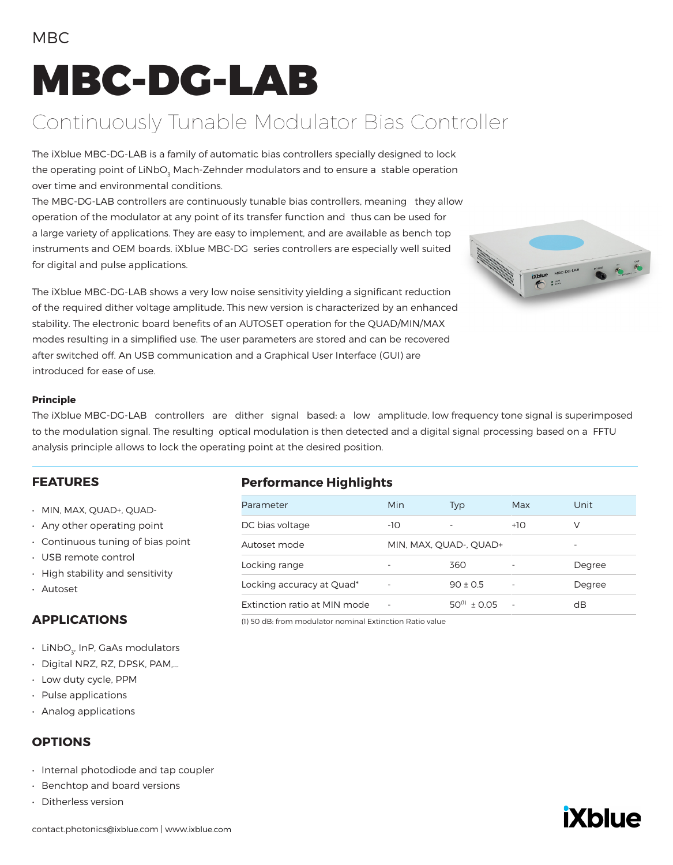# MBC-DG-LAB

### Continuously Tunable Modulator Bias Controller

The iXblue MBC-DG-LAB is a family of automatic bias controllers specially designed to lock the operating point of LiNbO $_{\tiny 3}$  Mach-Zehnder modulators and to ensure a  $\,$ stable operation over time and environmental conditions.

The MBC-DG-LAB controllers are continuously tunable bias controllers, meaning they allow operation of the modulator at any point of its transfer function and thus can be used for a large variety of applications. They are easy to implement, and are available as bench top instruments and OEM boards. iXblue MBC-DG series controllers are especially well suited for digital and pulse applications.

The iXblue MBC-DG-LAB shows a very low noise sensitivity yielding a significant reduction of the required dither voltage amplitude. This new version is characterized by an enhanced stability. The electronic board benefits of an AUTOSET operation for the QUAD/MIN/MAX modes resulting in a simplified use. The user parameters are stored and can be recovered after switched off. An USB communication and a Graphical User Interface (GUI) are introduced for ease of use.



#### **Principle**

The iXblue MBC-DG-LAB controllers are dither signal based: a low amplitude, low frequency tone signal is superimposed to the modulation signal. The resulting optical modulation is then detected and a digital signal processing based on a FFTU analysis principle allows to lock the operating point at the desired position.

#### **FEATURES**

- MIN, MAX, QUAD+, QUAD-
- Any other operating point
- Continuous tuning of bias point
- USB remote control
- High stability and sensitivity
- Autoset

### **APPLICATIONS**

- $\cdot$  LiNbO $_{_{\text{3\!}}}$  InP, GaAs modulators
- Digital NRZ, RZ, DPSK, PAM,...
- Low duty cycle, PPM
- Pulse applications
- Analog applications

### **OPTIONS**

- Internal photodiode and tap coupler
- Benchtop and board versions
- Ditherless version

### **Performance Highlights**

| Parameter                    | Min                      | Typ                    | Max    | Unit   |
|------------------------------|--------------------------|------------------------|--------|--------|
| DC bias voltage              | -10                      |                        | $+10$  | V      |
| Autoset mode                 |                          | MIN, MAX, QUAD-, QUAD+ |        |        |
| Locking range                |                          | 360                    |        | Degree |
| Locking accuracy at Quad*    | $\overline{\phantom{0}}$ | $90 + 0.5$             | ٠      | Degree |
| Extinction ratio at MIN mode | ۰                        | $50^{(1)} + 0.05$      | $\sim$ | dB     |
|                              |                          |                        |        |        |

(1) 50 dB: from modulator nominal Extinction Ratio value

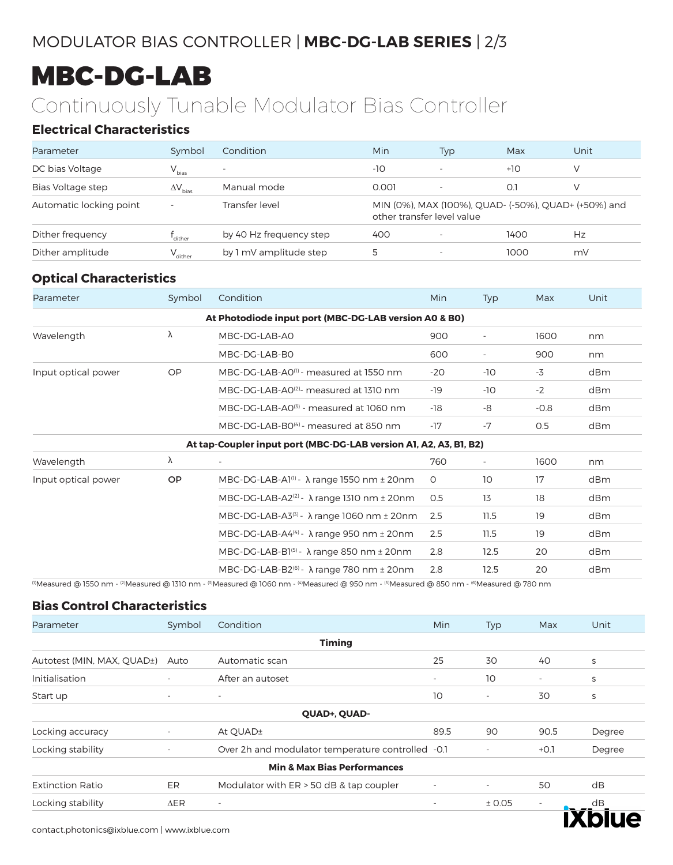### MODULATOR BIAS CONTROLLER | **MBC-DG-LAB SERIES** | 2/3

## MBC-DG-LAB

### Continuously Tunable Modulator Bias Controller

### **Electrical Characteristics**

| Parameter               | Symbol              | Condition                | Min                        | Typ                      | Max                                                  | Unit |
|-------------------------|---------------------|--------------------------|----------------------------|--------------------------|------------------------------------------------------|------|
| DC bias Voltage         | $V_{bias}$          | $\overline{\phantom{a}}$ | $-10$                      | $\overline{\phantom{a}}$ | $+10$                                                |      |
| Bias Voltage step       | $\Delta V_{bias}$   | Manual mode              | 0.001                      |                          | O.                                                   |      |
| Automatic locking point | $\sim$              | Transfer level           | other transfer level value |                          | MIN (0%), MAX (100%), QUAD- (-50%), QUAD+ (+50%) and |      |
| Dither frequency        | dither              | by 40 Hz frequency step  | 400                        |                          | 1400                                                 | Hz   |
| Dither amplitude        | $V_{\text{dither}}$ | by 1 mV amplitude step   | Ь                          | $\overline{\phantom{a}}$ | 1000                                                 | mV   |

### **Optical Characteristics**

| Parameter           | Symbol    | Condition                                                                                                                                                                                              | Min     | <b>Typ</b>               | Max    | Unit |
|---------------------|-----------|--------------------------------------------------------------------------------------------------------------------------------------------------------------------------------------------------------|---------|--------------------------|--------|------|
|                     |           | At Photodiode input port (MBC-DG-LAB version A0 & B0)                                                                                                                                                  |         |                          |        |      |
| λ<br>Wavelength     |           | MBC-DG-LAB-A0                                                                                                                                                                                          | 900     |                          | 1600   | nm   |
|                     |           | MBC-DG-LAB-B0                                                                                                                                                                                          | 600     |                          | 900    | nm   |
| Input optical power | <b>OP</b> | MBC-DG-LAB-A0 <sup>(1)</sup> - measured at 1550 nm                                                                                                                                                     | $-20$   | $-10$                    | $-3$   | dBm  |
|                     |           | MBC-DG-LAB-A0 <sup>(2)</sup> - measured at 1310 nm                                                                                                                                                     | $-19$   | $-10$                    | $-2$   | dBm  |
|                     |           | MBC-DG-LAB-A0 <sup>(3)</sup> - measured at 1060 nm                                                                                                                                                     | -18     | -8                       | $-0.8$ | dBm  |
|                     |           | MBC-DG-LAB-B0 <sup>(4)</sup> - measured at 850 nm                                                                                                                                                      | $-17$   | $-7$                     | 0.5    | dBm  |
|                     |           | At tap-Coupler input port (MBC-DG-LAB version A1, A2, A3, B1, B2)                                                                                                                                      |         |                          |        |      |
| Wavelength          | λ         | $\sim$                                                                                                                                                                                                 | 760     | $\overline{\phantom{a}}$ | 1600   | nm   |
| Input optical power | OP.       | MBC-DG-LAB-Al <sup>(1)</sup> - $\lambda$ range 1550 nm $\pm$ 20nm                                                                                                                                      | $\circ$ | 10                       | 17     | dBm  |
|                     |           | MBC-DG-LAB-A2 <sup>(2)</sup> - $\lambda$ range 1310 nm $\pm$ 20nm                                                                                                                                      | 0.5     | 13                       | 18     | dBm  |
|                     |           | MBC-DG-LAB-A3 $(3)$ - $\lambda$ range 1060 nm $\pm$ 20nm                                                                                                                                               | 2.5     | 11.5                     | 19     | dBm  |
|                     |           | MBC-DG-LAB-A4 $(4)$ - $\lambda$ range 950 nm $\pm$ 20nm                                                                                                                                                | 2.5     | 11.5                     | 19     | dBm  |
|                     |           | MBC-DG-LAB-B1 $^{(5)}$ - $\lambda$ range 850 nm ± 20nm                                                                                                                                                 | 2.8     | 12.5                     | 20     | dBm  |
|                     |           | MBC-DG-LAB-B2 <sup><math>(6)</math></sup> - $\lambda$ range 780 nm $\pm$ 20nm                                                                                                                          | 2.8     | 12.5                     | 20     | dBm  |
|                     |           | (i)Measured @ 1550 nm - <sup>(2)</sup> Measured @ 1310 nm - <sup>(3)</sup> Measured @ 1060 nm - <sup>(4)</sup> Measured @ 950 nm - <sup>(5)</sup> Measured @ 850 nm - <sup>(6)</sup> Measured @ 780 nm |         |                          |        |      |

#### **Bias Control Characteristics**

| Parameter                  | Symbol                   | Condition                                         | Min                      | <b>Typ</b>               | Max                      | Unit   |
|----------------------------|--------------------------|---------------------------------------------------|--------------------------|--------------------------|--------------------------|--------|
|                            |                          | <b>Timing</b>                                     |                          |                          |                          |        |
| Autotest (MIN, MAX, QUAD+) | Auto                     | Automatic scan                                    | 25                       | 30                       | 40                       | S      |
| Initialisation             | $\overline{\phantom{0}}$ | After an autoset                                  | $\overline{\phantom{a}}$ | 10                       | $\overline{\phantom{a}}$ | S      |
| Start up                   | $\overline{\phantom{a}}$ | $\sim$                                            | 10                       | $\overline{\phantom{a}}$ | 30                       | S      |
|                            |                          | QUAD+, QUAD-                                      |                          |                          |                          |        |
| Locking accuracy           |                          | At QUAD±                                          | 89.5                     | 90                       | 90.5                     | Degree |
| Locking stability          |                          | Over 2h and modulator temperature controlled -0.1 |                          |                          | $+O.1$                   | Degree |
|                            |                          | <b>Min &amp; Max Bias Performances</b>            |                          |                          |                          |        |
| <b>Extinction Ratio</b>    | ER                       | Modulator with ER > 50 dB & tap coupler           | ٠                        | $\overline{\phantom{a}}$ | 50                       | dB     |
| Locking stability          | $\Delta$ ER              | $\overline{\phantom{a}}$                          | $\qquad \qquad -$        | ± 0.05                   | $\overline{\phantom{a}}$ | dB     |
|                            |                          |                                                   |                          |                          |                          |        |